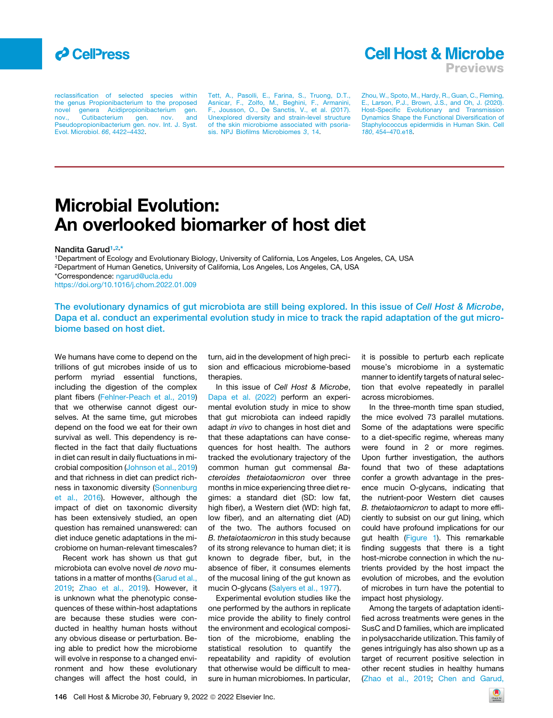

**Cell Host & Microbe** 

Previews

[reclassification of selected species within](http://refhub.elsevier.com/S1931-3128(22)00043-9/sref8) [the genus Propionibacterium to the proposed](http://refhub.elsevier.com/S1931-3128(22)00043-9/sref8)<br>novel genera Acidipropionibacterium gen. novel genera Acidipropionibacterium [nov., Cutibacterium gen. nov. and](http://refhub.elsevier.com/S1931-3128(22)00043-9/sref8) [Pseudopropionibacterium gen. nov. Int. J. Syst.](http://refhub.elsevier.com/S1931-3128(22)00043-9/sref8) [Evol. Microbiol.](http://refhub.elsevier.com/S1931-3128(22)00043-9/sref8) *66*, 4422–4432.

[Tett, A., Pasolli, E., Farina, S., Truong, D.T.,](http://refhub.elsevier.com/S1931-3128(22)00043-9/sref9) [Asnicar, F., Zolfo, M., Beghini, F., Armanini,](http://refhub.elsevier.com/S1931-3128(22)00043-9/sref9) [F., Jousson, O., De Sanctis, V., et al. \(2017\).](http://refhub.elsevier.com/S1931-3128(22)00043-9/sref9) [Unexplored diversity and strain-level structure](http://refhub.elsevier.com/S1931-3128(22)00043-9/sref9) [of the skin microbiome associated with psoria](http://refhub.elsevier.com/S1931-3128(22)00043-9/sref9)[sis. NPJ Biofilms Microbiomes](http://refhub.elsevier.com/S1931-3128(22)00043-9/sref9) *3*, 14.

[Zhou, W., Spoto, M., Hardy, R., Guan, C., Fleming,](http://refhub.elsevier.com/S1931-3128(22)00043-9/sref10) [E., Larson, P.J., Brown, J.S., and Oh, J. \(2020\).](http://refhub.elsevier.com/S1931-3128(22)00043-9/sref10) [Host-Specific Evolutionary and Transmission](http://refhub.elsevier.com/S1931-3128(22)00043-9/sref10) [Dynamics Shape the Functional Diversification of](http://refhub.elsevier.com/S1931-3128(22)00043-9/sref10) [Staphylococcus epidermidis in Human Skin. Cell](http://refhub.elsevier.com/S1931-3128(22)00043-9/sref10) *180*[, 454–470.e18](http://refhub.elsevier.com/S1931-3128(22)00043-9/sref10).

# Microbial Evolution: An overlooked biomarker of host diet

Nandita Garud<sup>[1,](#page-0-0)[2](#page-0-1),[\\*](#page-0-2)</sup>

<span id="page-0-1"></span><span id="page-0-0"></span>1Department of Ecology and Evolutionary Biology, University of California, Los Angeles, Los Angeles, CA, USA 2Department of Human Genetics, University of California, Los Angeles, Los Angeles, CA, USA \*Correspondence: [ngarud@ucla.edu](mailto:ngarud@ucla.edu) <https://doi.org/10.1016/j.chom.2022.01.009>

<span id="page-0-2"></span>

The evolutionary dynamics of gut microbiota are still being explored. In this issue of Cell Host & Microbe, Dapa et al. conduct an experimental evolution study in mice to track the rapid adaptation of the gut microbiome based on host diet.

We humans have come to depend on the trillions of gut microbes inside of us to perform myriad essential functions, including the digestion of the complex plant fibers [\(Fehlner-Peach et al., 2019\)](#page-1-0) that we otherwise cannot digest ourselves. At the same time, gut microbes depend on the food we eat for their own survival as well. This dependency is reflected in the fact that daily fluctuations in diet can result in daily fluctuations in microbial composition ([Johnson et al., 2019\)](#page-1-1) and that richness in diet can predict rich-ness in taxonomic diversity ([Sonnenburg](#page-1-2) [et al., 2016](#page-1-2)). However, although the impact of diet on taxonomic diversity has been extensively studied, an open question has remained unanswered: can diet induce genetic adaptations in the microbiome on human-relevant timescales?

Recent work has shown us that gut microbiota can evolve novel *de novo* mutations in a matter of months ([Garud et al.,](#page-1-3) [2019](#page-1-3); [Zhao et al., 2019](#page-1-4)). However, it is unknown what the phenotypic consequences of these within-host adaptations are because these studies were conducted in healthy human hosts without any obvious disease or perturbation. Being able to predict how the microbiome will evolve in response to a changed environment and how these evolutionary changes will affect the host could, in turn, aid in the development of high precision and efficacious microbiome-based therapies.

In this issue of *Cell Host & Microbe*, [Dapa et al. \(2022\)](#page-1-5) perform an experimental evolution study in mice to show that gut microbiota can indeed rapidly adapt *in vivo* to changes in host diet and that these adaptations can have consequences for host health. The authors tracked the evolutionary trajectory of the common human gut commensal *Bacteroides thetaiotaomicron* over three months in mice experiencing three diet regimes: a standard diet (SD: low fat, high fiber), a Western diet (WD: high fat, low fiber), and an alternating diet (AD) of the two. The authors focused on *B. thetaiotaomicron* in this study because of its strong relevance to human diet; it is known to degrade fiber, but, in the absence of fiber, it consumes elements of the mucosal lining of the gut known as mucin O-glycans ([Salyers et al., 1977\)](#page-1-6).

Experimental evolution studies like the one performed by the authors in replicate mice provide the ability to finely control the environment and ecological composition of the microbiome, enabling the statistical resolution to quantify the repeatability and rapidity of evolution that otherwise would be difficult to measure in human microbiomes. In particular, it is possible to perturb each replicate mouse's microbiome in a systematic manner to identify targets of natural selection that evolve repeatedly in parallel across microbiomes.

In the three-month time span studied, the mice evolved 73 parallel mutations. Some of the adaptations were specific to a diet-specific regime, whereas many were found in 2 or more regimes. Upon further investigation, the authors found that two of these adaptations confer a growth advantage in the presence mucin O-glycans, indicating that the nutrient-poor Western diet causes *B. thetaiotaomicron* to adapt to more efficiently to subsist on our gut lining, which could have profound implications for our gut health [\(Figure 1\)](#page-1-7). This remarkable finding suggests that there is a tight host-microbe connection in which the nutrients provided by the host impact the evolution of microbes, and the evolution of microbes in turn have the potential to impact host physiology.

Among the targets of adaptation identified across treatments were genes in the SusC and D families, which are implicated in polysaccharide utilization. This family of genes intriguingly has also shown up as a target of recurrent positive selection in other recent studies in healthy humans ([Zhao et al., 2019](#page-1-4); [Chen and Garud,](#page-1-8)